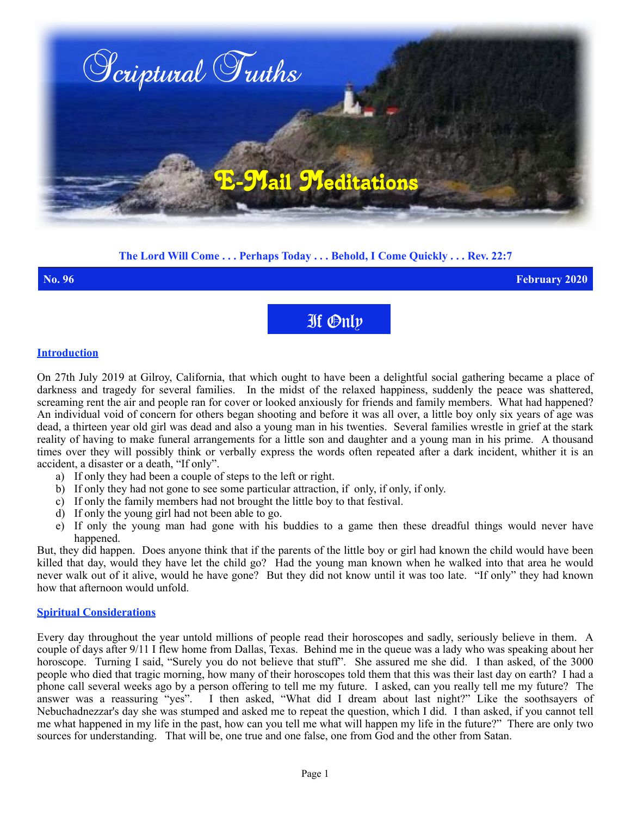

# **The Lord Will Come . . . Perhaps Today . . . Behold, I Come Quickly . . . Rev. 22:7**

**No. 96 February 2020**

If Only

#### **Introduction**

On 27th July 2019 at Gilroy, California, that which ought to have been a delightful social gathering became a place of darkness and tragedy for several families. In the midst of the relaxed happiness, suddenly the peace was shattered, screaming rent the air and people ran for cover or looked anxiously for friends and family members. What had happened? An individual void of concern for others began shooting and before it was all over, a little boy only six years of age was dead, a thirteen year old girl was dead and also a young man in his twenties. Several families wrestle in grief at the stark reality of having to make funeral arrangements for a little son and daughter and a young man in his prime. A thousand times over they will possibly think or verbally express the words often repeated after a dark incident, whither it is an accident, a disaster or a death, "If only".

- a) If only they had been a couple of steps to the left or right.
- b) If only they had not gone to see some particular attraction, if only, if only, if only.
- c) If only the family members had not brought the little boy to that festival.
- d) If only the young girl had not been able to go.
- e) If only the young man had gone with his buddies to a game then these dreadful things would never have happened.

But, they did happen. Does anyone think that if the parents of the little boy or girl had known the child would have been killed that day, would they have let the child go? Had the young man known when he walked into that area he would never walk out of it alive, would he have gone? But they did not know until it was too late. "If only" they had known how that afternoon would unfold.

## **Spiritual Considerations**

Every day throughout the year untold millions of people read their horoscopes and sadly, seriously believe in them. A couple of days after 9/11 I flew home from Dallas, Texas. Behind me in the queue was a lady who was speaking about her horoscope. Turning I said, "Surely you do not believe that stuff". She assured me she did. I than asked, of the 3000 people who died that tragic morning, how many of their horoscopes told them that this was their last day on earth? I had a phone call several weeks ago by a person offering to tell me my future. I asked, can you really tell me my future? The answer was a reassuring "yes". I then asked, "What did I dream about last night?" Like the soothsayers of Nebuchadnezzar's day she was stumped and asked me to repeat the question, which I did. I than asked, if you cannot tell me what happened in my life in the past, how can you tell me what will happen my life in the future?" There are only two sources for understanding. That will be, one true and one false, one from God and the other from Satan.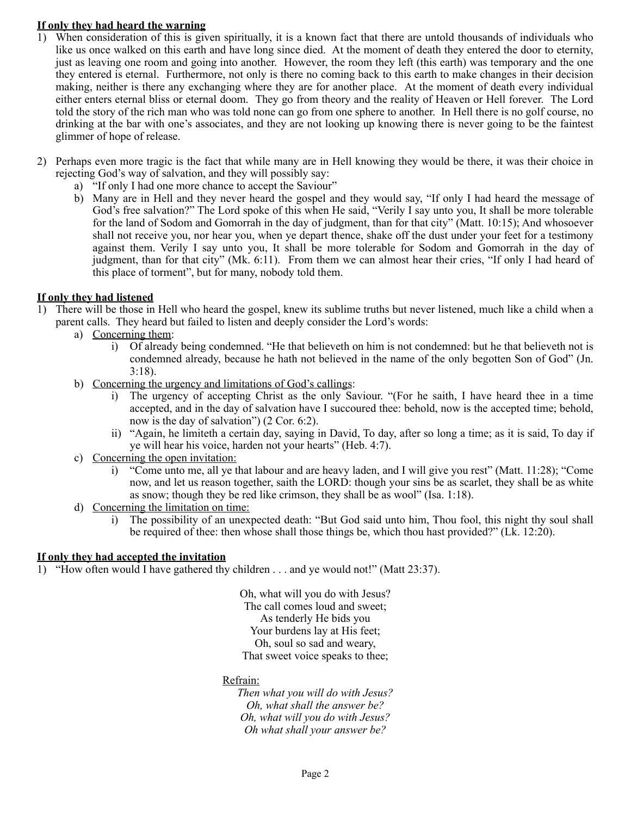## **If only they had heard the warning**

- 1) When consideration of this is given spiritually, it is a known fact that there are untold thousands of individuals who like us once walked on this earth and have long since died. At the moment of death they entered the door to eternity, just as leaving one room and going into another. However, the room they left (this earth) was temporary and the one they entered is eternal. Furthermore, not only is there no coming back to this earth to make changes in their decision making, neither is there any exchanging where they are for another place. At the moment of death every individual either enters eternal bliss or eternal doom. They go from theory and the reality of Heaven or Hell forever. The Lord told the story of the rich man who was told none can go from one sphere to another. In Hell there is no golf course, no drinking at the bar with one's associates, and they are not looking up knowing there is never going to be the faintest glimmer of hope of release.
- 2) Perhaps even more tragic is the fact that while many are in Hell knowing they would be there, it was their choice in rejecting God's way of salvation, and they will possibly say:
	- a) "If only I had one more chance to accept the Saviour"
	- b) Many are in Hell and they never heard the gospel and they would say, "If only I had heard the message of God's free salvation?" The Lord spoke of this when He said, "Verily I say unto you, It shall be more tolerable for the land of Sodom and Gomorrah in the day of judgment, than for that city" (Matt. 10:15); And whosoever shall not receive you, nor hear you, when ye depart thence, shake off the dust under your feet for a testimony against them. Verily I say unto you, It shall be more tolerable for Sodom and Gomorrah in the day of judgment, than for that city" (Mk. 6:11). From them we can almost hear their cries, "If only I had heard of this place of torment", but for many, nobody told them.

## **If only they had listened**

- 1) There will be those in Hell who heard the gospel, knew its sublime truths but never listened, much like a child when a parent calls. They heard but failed to listen and deeply consider the Lord's words:
	- a) Concerning them:
		- i) Of already being condemned. "He that believeth on him is not condemned: but he that believeth not is condemned already, because he hath not believed in the name of the only begotten Son of God" (Jn. 3:18).
	- b) Concerning the urgency and limitations of God's callings:
		- i) The urgency of accepting Christ as the only Saviour. "(For he saith, I have heard thee in a time accepted, and in the day of salvation have I succoured thee: behold, now is the accepted time; behold, now is the day of salvation") (2 Cor. 6:2).
		- ii) "Again, he limiteth a certain day, saying in David, To day, after so long a time; as it is said, To day if ye will hear his voice, harden not your hearts" (Heb. 4:7).
	- c) Concerning the open invitation:
		- i) "Come unto me, all ye that labour and are heavy laden, and I will give you rest" (Matt. 11:28); "Come now, and let us reason together, saith the LORD: though your sins be as scarlet, they shall be as white as snow; though they be red like crimson, they shall be as wool" (Isa. 1:18).
	- d) Concerning the limitation on time:
		- i) The possibility of an unexpected death: "But God said unto him, Thou fool, this night thy soul shall be required of thee: then whose shall those things be, which thou hast provided?" (Lk. 12:20).

## **If only they had accepted the invitation**

1) "How often would I have gathered thy children . . . and ye would not!" (Matt 23:37).

Oh, what will you do with Jesus? The call comes loud and sweet; As tenderly He bids you Your burdens lay at His feet; Oh, soul so sad and weary, That sweet voice speaks to thee;

## Refrain:

*Then what you will do with Jesus? Oh, what shall the answer be? Oh, what will you do with Jesus? Oh what shall your answer be?*